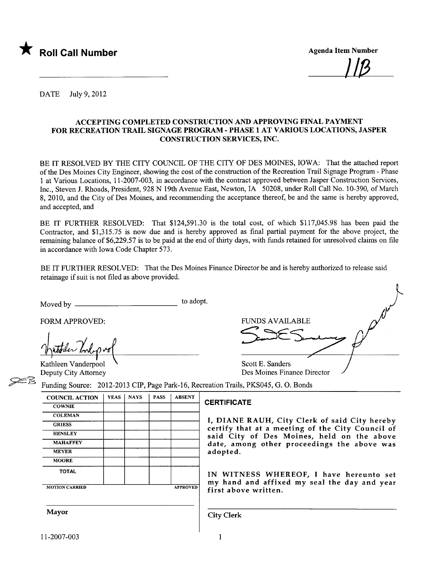

I/ß

DATE July 9, 2012

#### ACCEPTING COMPLETED CONSTRUCTION AND APPROVING FINAL PAYMENT FOR RECREATION TRAIL SIGNAGE PROGRAM - PHASE 1 AT VAROUS LOCATIONS, JASPER CONSTRUCTION SERVICES, INC.

BE IT RESOLVED BY THE CITY COUNCIL OF THE CITY OF DES MOINES, IOWA: That the attached report of the Des Moines City Engineer, showing the cost of the construction ofthe Recreation Trail Signage Program - Phase 1 at Various Locations, 11-2007-003, in accordance with the contract approved between Jasper Construction Services, Inc., Steven J. Rhoads, President, 928 N 19th Avenue East, Newton, IA 50208, under Roll Call No. 10-390, of March 8, 2010, and the City of Des Moines, and recommending the acceptance thereof, be and the same is hereby approved, and accepted, and

BE IT FURTHER RESOLVED: That \$124,591.30 is the total cost, of which \$117,045.98 has been paid the Contractor, and \$1,315.75 is now due and is hereby approved as final parial payment for the above project, the remaining balance of \$6,229.57 is to be paid at the end of thirty days, with funds retained for unresolved claims on file in accordance with Iowa Code Chapter 573.

BE IT FURTHER RESOLVED: That the Des Moines Finance Director be and is hereby authorized to release said retainage if suit is not filed as above provided.

Moved by to adopt.

MOTION CARRIED **APPROVED** 

FORM APPROVED:

**COLEMAN GRIESS** 

**HENSLEY** 

**MOORE** 

**FUNDS AVAILABLE** Examples interpreted the Contract of the Sanders<br>
Kathleen Vanderpool Scott E. Sanders Deputy City Attorney **Des Moines Finance Director** 

Funding Source: 2012-2013 CIP, Page Park-16, Recreation Trails, PKS045, G. O. Bonds COUNCIL ACTION | YEAS | NAYS | PASS | ABSENT COWNIE COWNIE

I, DIANE RAUH, City Clerk of said City hereby certify that at a meeting of the City Council of said City of Des Moines, held on the above MAHAFFEY date, among other proceedings the above was<br>MEYER adopted. adopted.

TOTAL IN WITNESS WHEREOF, <sup>I</sup> have hereunto set my hand and affixed my seal the day and year first above written.

Mayor Gity Clerk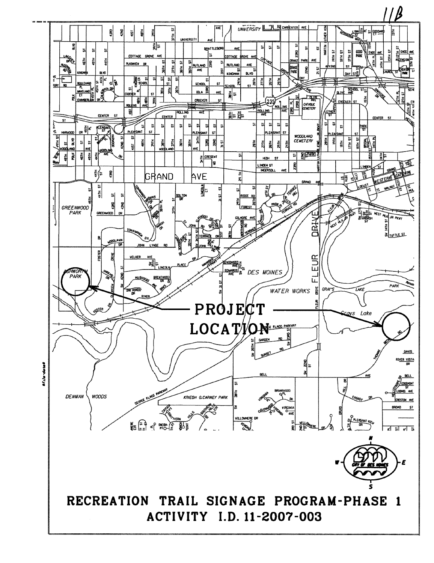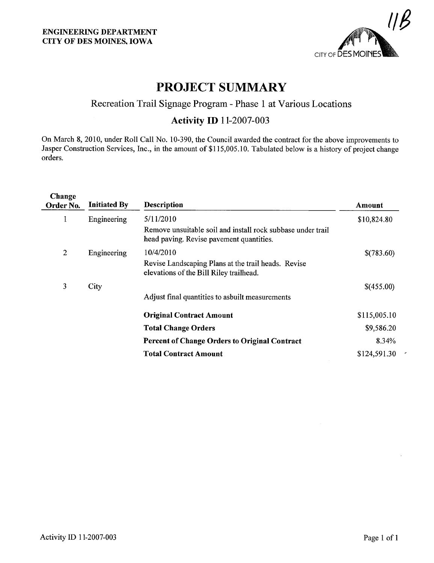

### PROJECT SUMMARY

### Recreation Trail Signage Program - Phase 1 at Various Locations

#### **Activity ID 11-2007-003**

On March 8, 2010, under Roll Call No. 10-390, the Council awarded the contract for the above improvements to Jasper Construction Services, Inc., in the amount of \$1 15,005.10. Tabulated below is a history of project change orders.

| Change<br>Order No. | <b>Initiated By</b> | <b>Description</b>                                                                                      | Amount       |  |
|---------------------|---------------------|---------------------------------------------------------------------------------------------------------|--------------|--|
| 1                   | Engineering         | 5/11/2010                                                                                               | \$10,824.80  |  |
|                     |                     | Remove unsuitable soil and install rock subbase under trail<br>head paving. Revise pavement quantities. |              |  |
| $\overline{2}$      | Engineering         | 10/4/2010                                                                                               | \$(783.60)   |  |
|                     |                     | Revise Landscaping Plans at the trail heads. Revise<br>elevations of the Bill Riley trailhead.          |              |  |
| 3                   | City                |                                                                                                         | \$(455.00)   |  |
|                     |                     | Adjust final quantities to asbuilt measurements                                                         |              |  |
|                     |                     | <b>Original Contract Amount</b>                                                                         | \$115,005.10 |  |
|                     |                     | <b>Total Change Orders</b>                                                                              | \$9,586.20   |  |
|                     |                     | <b>Percent of Change Orders to Original Contract</b>                                                    | 8.34%        |  |
|                     |                     | <b>Total Contract Amount</b>                                                                            | \$124,591.30 |  |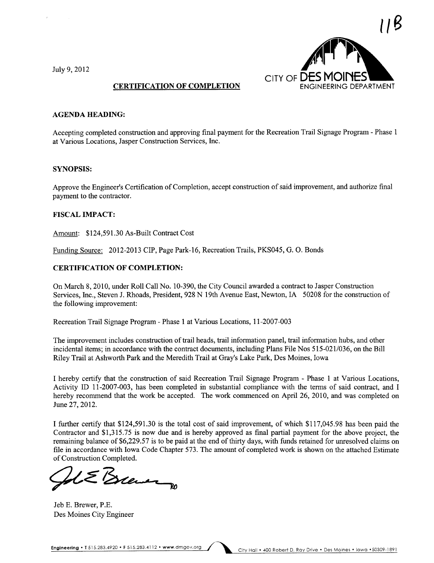July 9,2012



#### CERTIFICATION OF COMPLETION

#### AGENDA HEADING:

Accepting completed construction and approving final payment for the Recreation Trail Signage Program - Phase 1 at Various Locations, Jasper Construction Services, Inc.

#### SYNOPSIS:

Approve the Engineer's Certification of Completion, accept construction of said improvement, and authorize final payment to the contractor.

#### FISCAL IMPACT:

Amount: \$124,591.30 As-Built Contract Cost

Funding Source: 2012-2013 CIP, Page Park-16, Recreation Trails, PKS045, G. O. Bonds

#### CERTIFICATION OF COMPLETION:

On March 8, 2010, under Roll Call No. 10-390, the City Council awarded a contract to Jasper Construction Services, Inc., Steven J. Rhoads, President, 928 N 19th Avenue East, Newton, IA 50208 for the construction of the following improvement:

Recreation Trail Signage Program - Phase 1 at Various Locations, 11-2007-003

The improvement includes construction of trail heads, trail information panel, trail information hubs, and other incidental items; in accordance with the contract documents, including Plans File Nos 515-021/036, on the Bil Riley Trail at Ashworth Park and the Meredith Trail at Gray's Lake Park, Des Moines, Iowa

I hereby certify that the construction of said Recreation Trail Signage Program - Phase 1 at Various Locations, Activity ID 11-2007-003, has been completed in substantial compliance with the terms of said contract, and I hereby recommend that the work be accepted. The work commenced on April 26, 2010, and was completed on June 27, 2012.

I further certify that \$124,591.30 is the total cost of said improvement, of which \$117,045.98 has been paid the Contractor and \$1,315.75 is now due and is hereby approved as final parial payment for the above project, the remaining balance of \$6,229.57 is to be paid at the end of thirty days, with funds retained for unesolved claims on fie in accordance with Iowa Code Chapter 573. The amount of completed work is shown on the attached Estimate

of Construction Completed.

Jeb E. Brewer, P.E. Des Moines City Engineer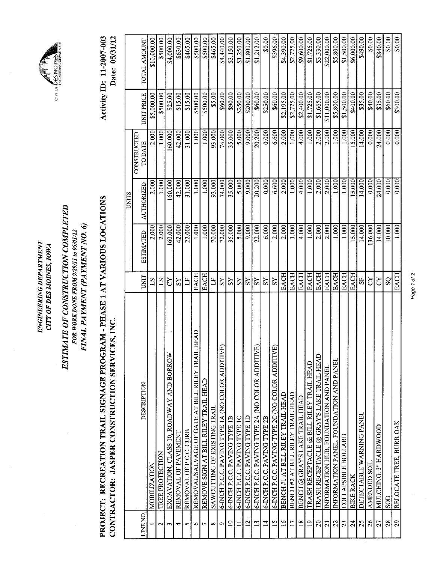ENGINEERING DEPARTMENT ENGINEERING DEPARTMENT CITY OF DES MOINES, IOWA CITY OF DES MOINES, IOWA



## ESTIMATE OF CONSTRUCTION COMPLETED ESTIMATE OF CONSTRUCTION COMPLETED FOR WORK DONE FROM 9/29/11 to 05/01/12<br>FINAL PAYMENT (PAYMENT NO. 6) FINAL PAYMENT (PAYMENT NO.6) FOR WORK DONE FROM 9/29/11 to 05/01/12

# PROJECT: RECREATION TRAIL SIGNAGE PROGRAM - PHASE 1 AT VARIOUS LOCATIONS PROJECT: RECREATION TRAIL SIGNAGE PROGRAM - PHASE 1 AT VARIOUS LOCATIONS CONTRACTOR: JASPER CONSTRUCTION SERVICES, INC. CONTRACTOR: JASPER CONSTRUCTION SERVICES, INC.

Activity ID: 11-2007-003 Date: 05/31/12 Activity ID: 11-2007-003 Date: 05/31/12

|                          |                                                      |                |                  | UNITS             |               |                   |              |
|--------------------------|------------------------------------------------------|----------------|------------------|-------------------|---------------|-------------------|--------------|
|                          |                                                      |                |                  |                   | CONSTRUCTED   |                   |              |
| LINE NO.                 | DESCRIPTION                                          | <b>UNIT</b>    | <b>ESTIMATED</b> | <b>AUTHORIZED</b> | <b>TODATE</b> | <b>UNIT PRICE</b> | TOTAL AMOUNT |
|                          | MOBILIZATION                                         | $^{21}$        | 2.000            | 2.000             | 2.000         | \$5,000.00        | \$10,000.00  |
| $\mathbf{\Omega}$        | TREE PROTECTION                                      | ST             | 2.000            | 0001              | 1.000         | \$500.00          | \$500.00     |
| ξ                        | EXCAVATION, CLASS 10, ROADWAY AND BORROW             | ζŹ             | 160,000          | 160.000           | 160.000       | \$25.00           | \$4,000.00   |
| ↽                        | REMOVAL OF PAVEMENT                                  | SS             | 42.000           | 42.000            | 42.000        | \$15.00           | \$630.00     |
| 5                        | REMOVAL OF P.C.C. CURB                               | Ë              | 22.000           | 31.000            | 31.000        | \$15.00           | \$465.00     |
| ৩                        | HEAD<br>REMOVAL/SALVAGE OF GATE AT BILL RILEY TRAI   | <b>EACH</b>    | 1.000            | 1.000             | 1.000         | \$500.00          | \$500.00     |
| 7                        | REMOVE SIGN AT BILL RILEY TRAIL HEAD                 | <b>EACH</b>    | 1.000            | 1.000             | 1.000         | \$500.00          | \$500.00     |
| ∞                        | SAWCUTTING OF EXISTING TRAIL                         | Ë              | 70.000           | 93.000            | 93.000        | \$5.00            | \$465.00     |
| Ò                        | මු<br>6-INCH P.C.C. PAVING TYPE 1A (NO COLOR ADDITIV | $\overline{S}$ | 72.000           | 74.000            | 74.000        | \$60.00           | \$4,440.00   |
| $\supseteq$              | 6-INCH P.C.C. PAVING TYPE 1B                         | SS             | 35.000           | 35.000            | 35.000        | \$90.00           | \$3,150.00   |
| $\overline{\phantom{0}}$ | 6-INCH P.C.C. PAVING TYPE IC                         | SS             | 5.000            | 5.000             | 5.000         | \$250.00          | \$1,250.00   |
| $\frac{2}{2}$            | 6-INCH P.C.C. PAVING TYPE ID                         | $\overline{S}$ | 9.000            | 9.000             | 9.000         | \$200.00          | \$1,800.00   |
| $\overline{13}$          | Đ<br>6-INCH P.C.C. PAVING TYPE 2A (NO COLOR ADDITIV  | ΣŠ             | 22.000           | 20.200            | 20.200        | \$60.00           | \$1,212.00   |
| $\overline{4}$           | 6-INCH P.C.C. PAVING TYPE 2B                         | $\overline{S}$ | 6.000            | 0.000             | 0.000         | \$250.00          | \$0.00       |
| $\overline{15}$          | ந<br>6-INCH P.C.C. PAVING TYPE 2C (NO COLOR ADDITIV  | SS             | 2.000            | 6.600             | 6.600         | \$60.00           | \$396.00     |
| $\frac{6}{1}$            | BENCH #1 AT BILL RILEY TRAIL HEAD                    | EACH           | 2.000            | 2.000             | 2.000         | \$2,195.00        | \$4,390.00   |
| $\overline{11}$          | BENCH #2 AT BILL RILEY TRAIL HEAD                    | <b>EACH</b>    | 1.000            | 1.000             | 1.000         | \$2,725.00        | \$2,725.00   |
| $\frac{8}{18}$           | BENCH @ GRAY'S LAKE TRAIL HEAD                       | EACH           | 4.000            | 4.000             | 4.000         | \$2,400.00        | \$9,600.00   |
| $\overline{19}$          | TRASH RECEPTACLE @ BILL RILEY TRAIL HEAD             | EACH           | 000              | 1.000             | 1.000         | \$1,725.00        | \$1,725.00   |
| 20                       | TRASH RECEPTACLE @ GRAY'S LAKE TRAIL HEAD            | <b>EACH</b>    | 2.000            | 2.000             | 2.000         | \$1,665.00        | \$3,330.00   |
| $\overline{z}$           | INFORMATION HUB, FOUNDATION AND PANEL                | EACH           | 2.000            | 2.000             | 2.000         | \$11,000.00       | \$22,000.00  |
| 22                       | INFORMATION PANEL, FOUNDATION AND PANEL              | <b>EACH</b>    | 1.000            | 1.000             | 1.000         | \$5,800.00        | \$5,800.00   |
| 23                       | <b>COLLAPSIBLE BOLLARD</b>                           | <b>EACH</b>    | 1.000            | 1.000             | 1.000         | \$1,500.00        | \$1,500.00   |
| 24                       | <b>BIKE RACK</b>                                     | <b>EACH</b>    | 15.000           | 15.000            | 15.000        | \$400.00          | \$6,000.00   |
| 25                       | DETECTABLE WARNING PANEL                             | 55             | 14.000           | 14.000            | 14.000        | \$35.00           | \$490.00     |
| 26                       | AMENDED SOIL                                         | $\Omega$       | 136.000          | 0.000             | 0.000         | \$40.00           | \$0.00       |
| 27                       | MULCHING. 3" HARDWOOD                                | S)             | 34.000           | 24.000            | 24.000        | \$35.00           | \$840.00     |
| 28                       | SOD                                                  | $S_{\rm Q}$    | 10.000           | 0.000             | 0.000         | \$60.00           | \$0.00       |
| 29                       | RELOCATE TREE, BURR OAK                              | EACH           | 1.000            | 0.000             | 0.000         | \$300.00          | \$0.00       |